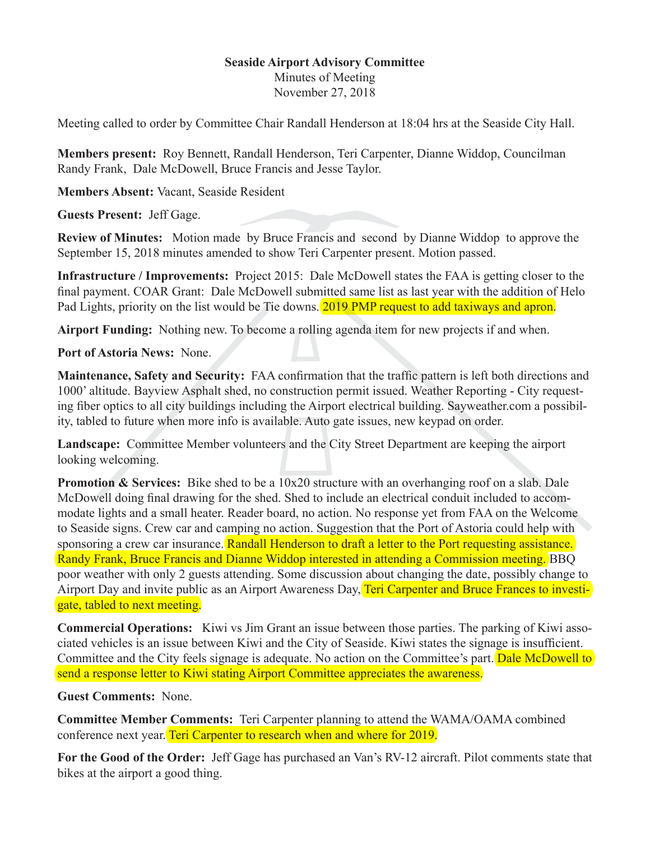## **Seaside Airport Advisory Committee**

Minutes of Meeting November 27, 2018

Meeting called to order by Committee Chair Randall Henderson at 18:04 hrs at the Seaside City Hall.

**Members present:** Roy Bennett, Randall Henderson, Teri Carpenter, Dianne Widdop, Councilman Randy Frank, Dale McDowell, Bruce Francis and Jesse Taylor.

**Members Absent:** Vacant, Seaside Resident

**Guests Present:** Jeff Gage.

**Review of Minutes:** Motion made by Bruce Francis and second by Dianne Widdop to approve the September 15, 2018 minutes amended to show Teri Carpenter present. Motion passed.

**Infrastructure / Improvements:** Project 2015: Dale McDowell states the FAA is getting closer to the final payment. COAR Grant: Dale McDowell submitted same list as last year with the addition of Helo Pad Lights, priority on the list would be Tie downs. 2019 PMP request to add taxiways and apron.

**Airport Funding:** Nothing new. To become a rolling agenda item for new projects if and when.

**Port of Astoria News:** None.

**Maintenance, Safety and Security:** FAA confirmation that the traffic pattern is left both directions and 1000' altitude. Bayview Asphalt shed, no construction permit issued. Weather Reporting - City requesting fiber optics to all city buildings including the Airport electrical building. Sayweather.com a possibility, tabled to future when more info is available. Auto gate issues, new keypad on order.

**Landscape:** Committee Member volunteers and the City Street Department are keeping the airport looking welcoming.

**Promotion & Services:** Bike shed to be a 10x20 structure with an overhanging roof on a slab. Dale McDowell doing final drawing for the shed. Shed to include an electrical conduit included to accommodate lights and a small heater. Reader board, no action. No response yet from FAA on the Welcome to Seaside signs. Crew car and camping no action. Suggestion that the Port of Astoria could help with sponsoring a crew car insurance. Randall Henderson to draft a letter to the Port requesting assistance. Randy Frank, Bruce Francis and Dianne Widdop interested in attending a Commission meeting. BBQ poor weather with only 2 guests attending. Some discussion about changing the date, possibly change to Airport Day and invite public as an Airport Awareness Day, Teri Carpenter and Bruce Frances to investigate, tabled to next meeting.

**Commercial Operations:** Kiwi vs Jim Grant an issue between those parties. The parking of Kiwi associated vehicles is an issue between Kiwi and the City of Seaside. Kiwi states the signage is insufficient. Committee and the City feels signage is adequate. No action on the Committee's part. Dale McDowell to send a response letter to Kiwi stating Airport Committee appreciates the awareness.

**Guest Comments:** None.

**Committee Member Comments:** Teri Carpenter planning to attend the WAMA/OAMA combined conference next year. Teri Carpenter to research when and where for 2019.

**For the Good of the Order:** Jeff Gage has purchased an Van's RV-12 aircraft. Pilot comments state that bikes at the airport a good thing.